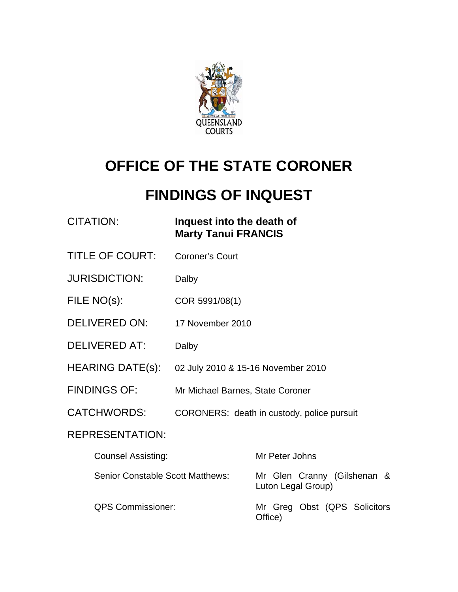

# **OFFICE OF THE STATE CORONER**

# **FINDINGS OF INQUEST**

CITATION: **Inquest into the death of Marty Tanui FRANCIS** 

- TITLE OF COURT: Coroner's Court
- JURISDICTION: Dalby
- FILE NO(s): COR 5991/08(1)
- DELIVERED ON: 17 November 2010
- DELIVERED AT: Dalby
- HEARING DATE(s): 02 July 2010 & 15-16 November 2010
- FINDINGS OF: Mr Michael Barnes, State Coroner
- CATCHWORDS: CORONERS: death in custody, police pursuit

## REPRESENTATION:

| <b>Counsel Assisting:</b>               | Mr Peter Johns                                    |
|-----------------------------------------|---------------------------------------------------|
| <b>Senior Constable Scott Matthews:</b> | Mr Glen Cranny (Gilshenan &<br>Luton Legal Group) |
| <b>QPS Commissioner:</b>                | Mr Greg Obst (QPS Solicitors<br>Office)           |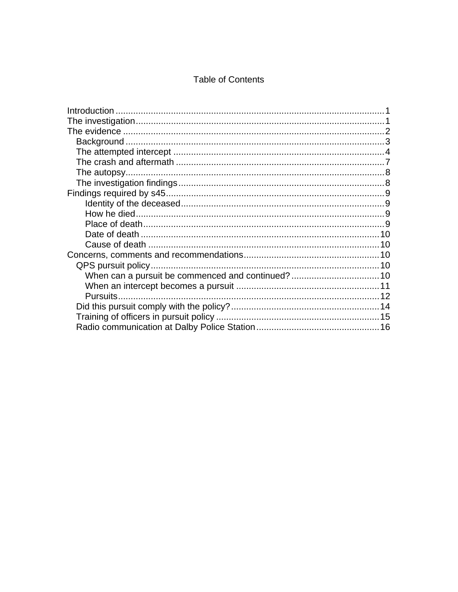## **Table of Contents**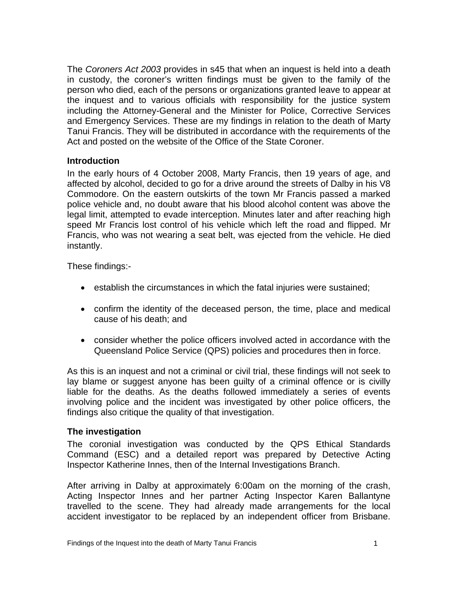<span id="page-2-0"></span>The *Coroners Act 2003* provides in s45 that when an inquest is held into a death in custody, the coroner's written findings must be given to the family of the person who died, each of the persons or organizations granted leave to appear at the inquest and to various officials with responsibility for the justice system including the Attorney-General and the Minister for Police, Corrective Services and Emergency Services. These are my findings in relation to the death of Marty Tanui Francis. They will be distributed in accordance with the requirements of the Act and posted on the website of the Office of the State Coroner.

#### **Introduction**

In the early hours of 4 October 2008, Marty Francis, then 19 years of age, and affected by alcohol, decided to go for a drive around the streets of Dalby in his V8 Commodore. On the eastern outskirts of the town Mr Francis passed a marked police vehicle and, no doubt aware that his blood alcohol content was above the legal limit, attempted to evade interception. Minutes later and after reaching high speed Mr Francis lost control of his vehicle which left the road and flipped. Mr Francis, who was not wearing a seat belt, was ejected from the vehicle. He died instantly.

These findings:-

- establish the circumstances in which the fatal injuries were sustained;
- confirm the identity of the deceased person, the time, place and medical cause of his death; and
- consider whether the police officers involved acted in accordance with the Queensland Police Service (QPS) policies and procedures then in force.

As this is an inquest and not a criminal or civil trial, these findings will not seek to lay blame or suggest anyone has been guilty of a criminal offence or is civilly liable for the deaths. As the deaths followed immediately a series of events involving police and the incident was investigated by other police officers, the findings also critique the quality of that investigation.

#### **The investigation**

The coronial investigation was conducted by the QPS Ethical Standards Command (ESC) and a detailed report was prepared by Detective Acting Inspector Katherine Innes, then of the Internal Investigations Branch.

After arriving in Dalby at approximately 6:00am on the morning of the crash, Acting Inspector Innes and her partner Acting Inspector Karen Ballantyne travelled to the scene. They had already made arrangements for the local accident investigator to be replaced by an independent officer from Brisbane.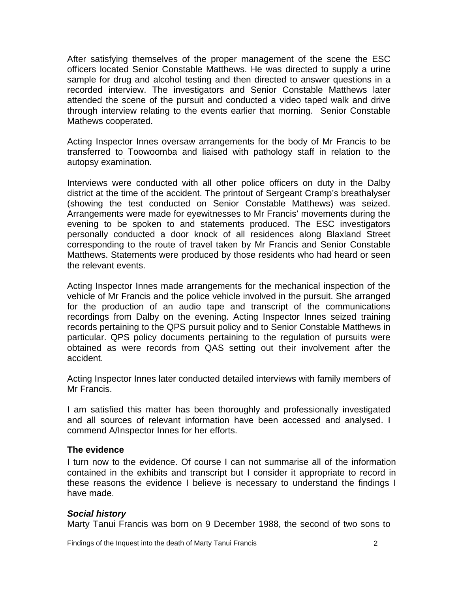<span id="page-3-0"></span>After satisfying themselves of the proper management of the scene the ESC officers located Senior Constable Matthews. He was directed to supply a urine sample for drug and alcohol testing and then directed to answer questions in a recorded interview. The investigators and Senior Constable Matthews later attended the scene of the pursuit and conducted a video taped walk and drive through interview relating to the events earlier that morning. Senior Constable Mathews cooperated.

Acting Inspector Innes oversaw arrangements for the body of Mr Francis to be transferred to Toowoomba and liaised with pathology staff in relation to the autopsy examination.

Interviews were conducted with all other police officers on duty in the Dalby district at the time of the accident. The printout of Sergeant Cramp's breathalyser (showing the test conducted on Senior Constable Matthews) was seized. Arrangements were made for eyewitnesses to Mr Francis' movements during the evening to be spoken to and statements produced. The ESC investigators personally conducted a door knock of all residences along Blaxland Street corresponding to the route of travel taken by Mr Francis and Senior Constable Matthews. Statements were produced by those residents who had heard or seen the relevant events.

Acting Inspector Innes made arrangements for the mechanical inspection of the vehicle of Mr Francis and the police vehicle involved in the pursuit. She arranged for the production of an audio tape and transcript of the communications recordings from Dalby on the evening. Acting Inspector Innes seized training records pertaining to the QPS pursuit policy and to Senior Constable Matthews in particular. QPS policy documents pertaining to the regulation of pursuits were obtained as were records from QAS setting out their involvement after the accident.

Acting Inspector Innes later conducted detailed interviews with family members of Mr Francis.

I am satisfied this matter has been thoroughly and professionally investigated and all sources of relevant information have been accessed and analysed. I commend A/Inspector Innes for her efforts.

#### **The evidence**

I turn now to the evidence. Of course I can not summarise all of the information contained in the exhibits and transcript but I consider it appropriate to record in these reasons the evidence I believe is necessary to understand the findings I have made.

#### *Social history*

Marty Tanui Francis was born on 9 December 1988, the second of two sons to

Findings of the Inquest into the death of Marty Tanui Francis 2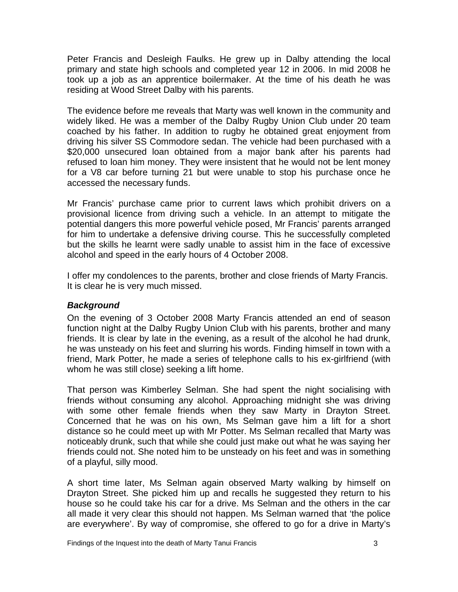<span id="page-4-0"></span>Peter Francis and Desleigh Faulks. He grew up in Dalby attending the local primary and state high schools and completed year 12 in 2006. In mid 2008 he took up a job as an apprentice boilermaker. At the time of his death he was residing at Wood Street Dalby with his parents.

The evidence before me reveals that Marty was well known in the community and widely liked. He was a member of the Dalby Rugby Union Club under 20 team coached by his father. In addition to rugby he obtained great enjoyment from driving his silver SS Commodore sedan. The vehicle had been purchased with a \$20,000 unsecured loan obtained from a major bank after his parents had refused to loan him money. They were insistent that he would not be lent money for a V8 car before turning 21 but were unable to stop his purchase once he accessed the necessary funds.

Mr Francis' purchase came prior to current laws which prohibit drivers on a provisional licence from driving such a vehicle. In an attempt to mitigate the potential dangers this more powerful vehicle posed, Mr Francis' parents arranged for him to undertake a defensive driving course. This he successfully completed but the skills he learnt were sadly unable to assist him in the face of excessive alcohol and speed in the early hours of 4 October 2008.

I offer my condolences to the parents, brother and close friends of Marty Francis. It is clear he is very much missed.

### *Background*

On the evening of 3 October 2008 Marty Francis attended an end of season function night at the Dalby Rugby Union Club with his parents, brother and many friends. It is clear by late in the evening, as a result of the alcohol he had drunk, he was unsteady on his feet and slurring his words. Finding himself in town with a friend, Mark Potter, he made a series of telephone calls to his ex-girlfriend (with whom he was still close) seeking a lift home.

That person was Kimberley Selman. She had spent the night socialising with friends without consuming any alcohol. Approaching midnight she was driving with some other female friends when they saw Marty in Drayton Street. Concerned that he was on his own, Ms Selman gave him a lift for a short distance so he could meet up with Mr Potter. Ms Selman recalled that Marty was noticeably drunk, such that while she could just make out what he was saying her friends could not. She noted him to be unsteady on his feet and was in something of a playful, silly mood.

A short time later, Ms Selman again observed Marty walking by himself on Drayton Street. She picked him up and recalls he suggested they return to his house so he could take his car for a drive. Ms Selman and the others in the car all made it very clear this should not happen. Ms Selman warned that 'the police are everywhere'. By way of compromise, she offered to go for a drive in Marty's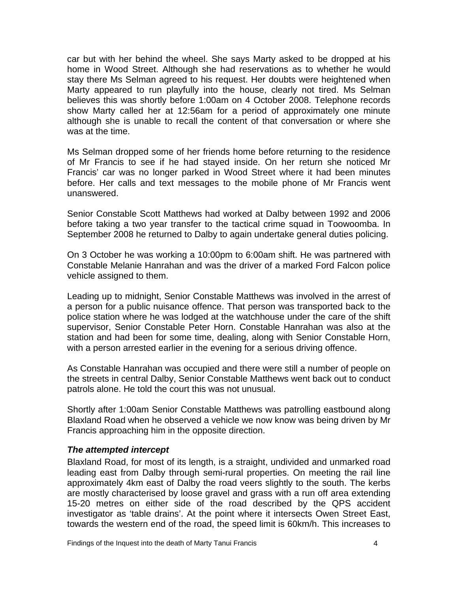<span id="page-5-0"></span>car but with her behind the wheel. She says Marty asked to be dropped at his home in Wood Street. Although she had reservations as to whether he would stay there Ms Selman agreed to his request. Her doubts were heightened when Marty appeared to run playfully into the house, clearly not tired. Ms Selman believes this was shortly before 1:00am on 4 October 2008. Telephone records show Marty called her at 12:56am for a period of approximately one minute although she is unable to recall the content of that conversation or where she was at the time.

Ms Selman dropped some of her friends home before returning to the residence of Mr Francis to see if he had stayed inside. On her return she noticed Mr Francis' car was no longer parked in Wood Street where it had been minutes before. Her calls and text messages to the mobile phone of Mr Francis went unanswered.

Senior Constable Scott Matthews had worked at Dalby between 1992 and 2006 before taking a two year transfer to the tactical crime squad in Toowoomba. In September 2008 he returned to Dalby to again undertake general duties policing.

On 3 October he was working a 10:00pm to 6:00am shift. He was partnered with Constable Melanie Hanrahan and was the driver of a marked Ford Falcon police vehicle assigned to them.

Leading up to midnight, Senior Constable Matthews was involved in the arrest of a person for a public nuisance offence. That person was transported back to the police station where he was lodged at the watchhouse under the care of the shift supervisor, Senior Constable Peter Horn. Constable Hanrahan was also at the station and had been for some time, dealing, along with Senior Constable Horn, with a person arrested earlier in the evening for a serious driving offence.

As Constable Hanrahan was occupied and there were still a number of people on the streets in central Dalby, Senior Constable Matthews went back out to conduct patrols alone. He told the court this was not unusual.

Shortly after 1:00am Senior Constable Matthews was patrolling eastbound along Blaxland Road when he observed a vehicle we now know was being driven by Mr Francis approaching him in the opposite direction.

#### *The attempted intercept*

Blaxland Road, for most of its length, is a straight, undivided and unmarked road leading east from Dalby through semi-rural properties. On meeting the rail line approximately 4km east of Dalby the road veers slightly to the south. The kerbs are mostly characterised by loose gravel and grass with a run off area extending 15-20 metres on either side of the road described by the QPS accident investigator as 'table drains'. At the point where it intersects Owen Street East, towards the western end of the road, the speed limit is 60km/h. This increases to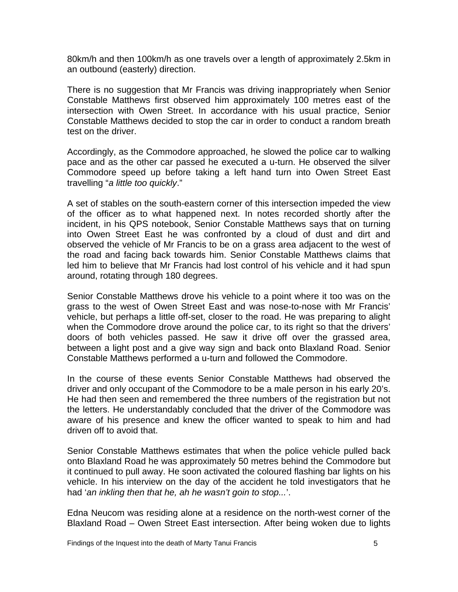80km/h and then 100km/h as one travels over a length of approximately 2.5km in an outbound (easterly) direction.

There is no suggestion that Mr Francis was driving inappropriately when Senior Constable Matthews first observed him approximately 100 metres east of the intersection with Owen Street. In accordance with his usual practice, Senior Constable Matthews decided to stop the car in order to conduct a random breath test on the driver.

Accordingly, as the Commodore approached, he slowed the police car to walking pace and as the other car passed he executed a u-turn. He observed the silver Commodore speed up before taking a left hand turn into Owen Street East travelling "*a little too quickly*."

A set of stables on the south-eastern corner of this intersection impeded the view of the officer as to what happened next. In notes recorded shortly after the incident, in his QPS notebook, Senior Constable Matthews says that on turning into Owen Street East he was confronted by a cloud of dust and dirt and observed the vehicle of Mr Francis to be on a grass area adjacent to the west of the road and facing back towards him. Senior Constable Matthews claims that led him to believe that Mr Francis had lost control of his vehicle and it had spun around, rotating through 180 degrees.

Senior Constable Matthews drove his vehicle to a point where it too was on the grass to the west of Owen Street East and was nose-to-nose with Mr Francis' vehicle, but perhaps a little off-set, closer to the road. He was preparing to alight when the Commodore drove around the police car, to its right so that the drivers' doors of both vehicles passed. He saw it drive off over the grassed area, between a light post and a give way sign and back onto Blaxland Road. Senior Constable Matthews performed a u-turn and followed the Commodore.

In the course of these events Senior Constable Matthews had observed the driver and only occupant of the Commodore to be a male person in his early 20's. He had then seen and remembered the three numbers of the registration but not the letters. He understandably concluded that the driver of the Commodore was aware of his presence and knew the officer wanted to speak to him and had driven off to avoid that.

Senior Constable Matthews estimates that when the police vehicle pulled back onto Blaxland Road he was approximately 50 metres behind the Commodore but it continued to pull away. He soon activated the coloured flashing bar lights on his vehicle. In his interview on the day of the accident he told investigators that he had '*an inkling then that he, ah he wasn't goin to stop...*'.

Edna Neucom was residing alone at a residence on the north-west corner of the Blaxland Road – Owen Street East intersection. After being woken due to lights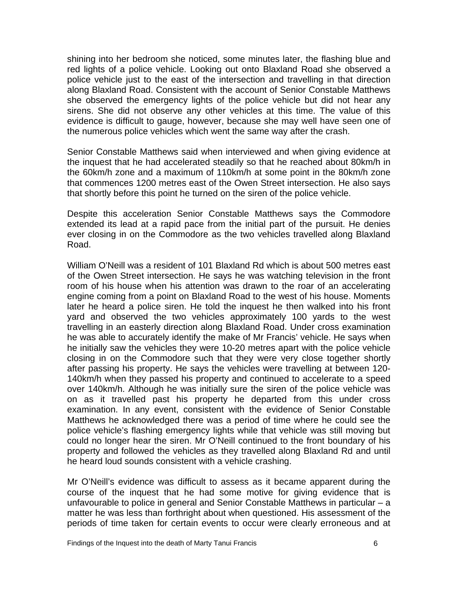shining into her bedroom she noticed, some minutes later, the flashing blue and red lights of a police vehicle. Looking out onto Blaxland Road she observed a police vehicle just to the east of the intersection and travelling in that direction along Blaxland Road. Consistent with the account of Senior Constable Matthews she observed the emergency lights of the police vehicle but did not hear any sirens. She did not observe any other vehicles at this time. The value of this evidence is difficult to gauge, however, because she may well have seen one of the numerous police vehicles which went the same way after the crash.

Senior Constable Matthews said when interviewed and when giving evidence at the inquest that he had accelerated steadily so that he reached about 80km/h in the 60km/h zone and a maximum of 110km/h at some point in the 80km/h zone that commences 1200 metres east of the Owen Street intersection. He also says that shortly before this point he turned on the siren of the police vehicle.

Despite this acceleration Senior Constable Matthews says the Commodore extended its lead at a rapid pace from the initial part of the pursuit. He denies ever closing in on the Commodore as the two vehicles travelled along Blaxland Road.

William O'Neill was a resident of 101 Blaxland Rd which is about 500 metres east of the Owen Street intersection. He says he was watching television in the front room of his house when his attention was drawn to the roar of an accelerating engine coming from a point on Blaxland Road to the west of his house. Moments later he heard a police siren. He told the inquest he then walked into his front yard and observed the two vehicles approximately 100 yards to the west travelling in an easterly direction along Blaxland Road. Under cross examination he was able to accurately identify the make of Mr Francis' vehicle. He says when he initially saw the vehicles they were 10-20 metres apart with the police vehicle closing in on the Commodore such that they were very close together shortly after passing his property. He says the vehicles were travelling at between 120- 140km/h when they passed his property and continued to accelerate to a speed over 140km/h. Although he was initially sure the siren of the police vehicle was on as it travelled past his property he departed from this under cross examination. In any event, consistent with the evidence of Senior Constable Matthews he acknowledged there was a period of time where he could see the police vehicle's flashing emergency lights while that vehicle was still moving but could no longer hear the siren. Mr O'Neill continued to the front boundary of his property and followed the vehicles as they travelled along Blaxland Rd and until he heard loud sounds consistent with a vehicle crashing.

Mr O'Neill's evidence was difficult to assess as it became apparent during the course of the inquest that he had some motive for giving evidence that is unfavourable to police in general and Senior Constable Matthews in particular – a matter he was less than forthright about when questioned. His assessment of the periods of time taken for certain events to occur were clearly erroneous and at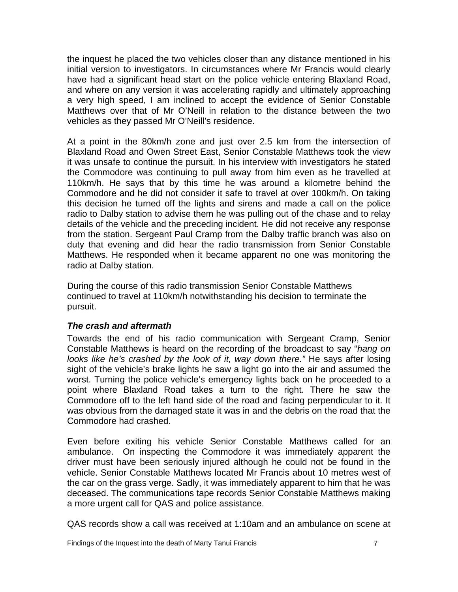<span id="page-8-0"></span>the inquest he placed the two vehicles closer than any distance mentioned in his initial version to investigators. In circumstances where Mr Francis would clearly have had a significant head start on the police vehicle entering Blaxland Road, and where on any version it was accelerating rapidly and ultimately approaching a very high speed, I am inclined to accept the evidence of Senior Constable Matthews over that of Mr O'Neill in relation to the distance between the two vehicles as they passed Mr O'Neill's residence.

At a point in the 80km/h zone and just over 2.5 km from the intersection of Blaxland Road and Owen Street East, Senior Constable Matthews took the view it was unsafe to continue the pursuit. In his interview with investigators he stated the Commodore was continuing to pull away from him even as he travelled at 110km/h. He says that by this time he was around a kilometre behind the Commodore and he did not consider it safe to travel at over 100km/h. On taking this decision he turned off the lights and sirens and made a call on the police radio to Dalby station to advise them he was pulling out of the chase and to relay details of the vehicle and the preceding incident. He did not receive any response from the station. Sergeant Paul Cramp from the Dalby traffic branch was also on duty that evening and did hear the radio transmission from Senior Constable Matthews. He responded when it became apparent no one was monitoring the radio at Dalby station.

During the course of this radio transmission Senior Constable Matthews continued to travel at 110km/h notwithstanding his decision to terminate the pursuit.

#### *The crash and aftermath*

Towards the end of his radio communication with Sergeant Cramp, Senior Constable Matthews is heard on the recording of the broadcast to say "*hang on looks like he's crashed by the look of it, way down there."* He says after losing sight of the vehicle's brake lights he saw a light go into the air and assumed the worst. Turning the police vehicle's emergency lights back on he proceeded to a point where Blaxland Road takes a turn to the right. There he saw the Commodore off to the left hand side of the road and facing perpendicular to it. It was obvious from the damaged state it was in and the debris on the road that the Commodore had crashed.

Even before exiting his vehicle Senior Constable Matthews called for an ambulance. On inspecting the Commodore it was immediately apparent the driver must have been seriously injured although he could not be found in the vehicle. Senior Constable Matthews located Mr Francis about 10 metres west of the car on the grass verge. Sadly, it was immediately apparent to him that he was deceased. The communications tape records Senior Constable Matthews making a more urgent call for QAS and police assistance.

QAS records show a call was received at 1:10am and an ambulance on scene at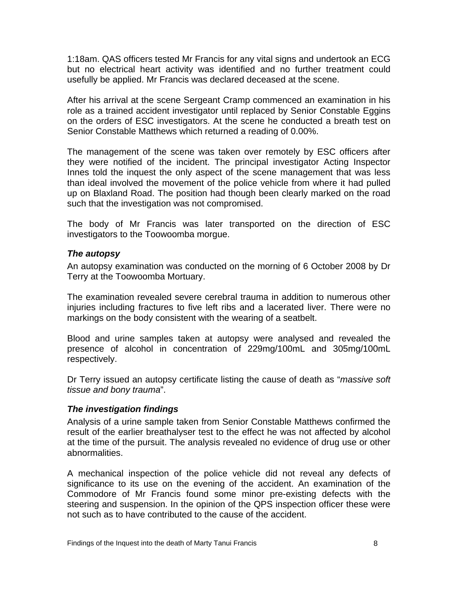<span id="page-9-0"></span>1:18am. QAS officers tested Mr Francis for any vital signs and undertook an ECG but no electrical heart activity was identified and no further treatment could usefully be applied. Mr Francis was declared deceased at the scene.

After his arrival at the scene Sergeant Cramp commenced an examination in his role as a trained accident investigator until replaced by Senior Constable Eggins on the orders of ESC investigators. At the scene he conducted a breath test on Senior Constable Matthews which returned a reading of 0.00%.

The management of the scene was taken over remotely by ESC officers after they were notified of the incident. The principal investigator Acting Inspector Innes told the inquest the only aspect of the scene management that was less than ideal involved the movement of the police vehicle from where it had pulled up on Blaxland Road. The position had though been clearly marked on the road such that the investigation was not compromised.

The body of Mr Francis was later transported on the direction of ESC investigators to the Toowoomba morgue.

#### *The autopsy*

An autopsy examination was conducted on the morning of 6 October 2008 by Dr Terry at the Toowoomba Mortuary.

The examination revealed severe cerebral trauma in addition to numerous other injuries including fractures to five left ribs and a lacerated liver. There were no markings on the body consistent with the wearing of a seatbelt.

Blood and urine samples taken at autopsy were analysed and revealed the presence of alcohol in concentration of 229mg/100mL and 305mg/100mL respectively.

Dr Terry issued an autopsy certificate listing the cause of death as "*massive soft tissue and bony trauma*".

#### *The investigation findings*

Analysis of a urine sample taken from Senior Constable Matthews confirmed the result of the earlier breathalyser test to the effect he was not affected by alcohol at the time of the pursuit. The analysis revealed no evidence of drug use or other abnormalities.

A mechanical inspection of the police vehicle did not reveal any defects of significance to its use on the evening of the accident. An examination of the Commodore of Mr Francis found some minor pre-existing defects with the steering and suspension. In the opinion of the QPS inspection officer these were not such as to have contributed to the cause of the accident.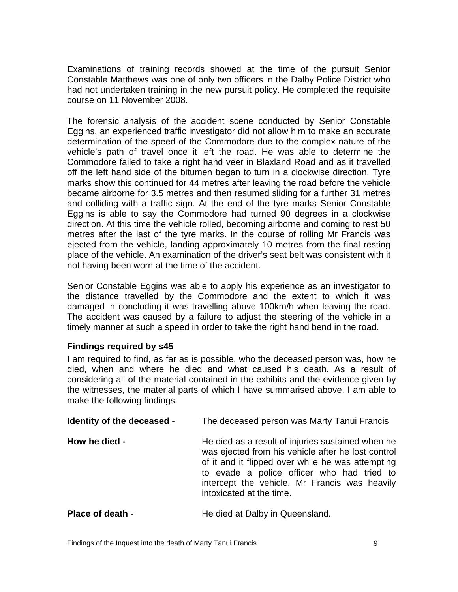<span id="page-10-0"></span>Examinations of training records showed at the time of the pursuit Senior Constable Matthews was one of only two officers in the Dalby Police District who had not undertaken training in the new pursuit policy. He completed the requisite course on 11 November 2008.

The forensic analysis of the accident scene conducted by Senior Constable Eggins, an experienced traffic investigator did not allow him to make an accurate determination of the speed of the Commodore due to the complex nature of the vehicle's path of travel once it left the road. He was able to determine the Commodore failed to take a right hand veer in Blaxland Road and as it travelled off the left hand side of the bitumen began to turn in a clockwise direction. Tyre marks show this continued for 44 metres after leaving the road before the vehicle became airborne for 3.5 metres and then resumed sliding for a further 31 metres and colliding with a traffic sign. At the end of the tyre marks Senior Constable Eggins is able to say the Commodore had turned 90 degrees in a clockwise direction. At this time the vehicle rolled, becoming airborne and coming to rest 50 metres after the last of the tyre marks. In the course of rolling Mr Francis was ejected from the vehicle, landing approximately 10 metres from the final resting place of the vehicle. An examination of the driver's seat belt was consistent with it not having been worn at the time of the accident.

Senior Constable Eggins was able to apply his experience as an investigator to the distance travelled by the Commodore and the extent to which it was damaged in concluding it was travelling above 100km/h when leaving the road. The accident was caused by a failure to adjust the steering of the vehicle in a timely manner at such a speed in order to take the right hand bend in the road.

### **Findings required by s45**

I am required to find, as far as is possible, who the deceased person was, how he died, when and where he died and what caused his death. As a result of considering all of the material contained in the exhibits and the evidence given by the witnesses, the material parts of which I have summarised above, I am able to make the following findings.

| Identity of the deceased - | The deceased person was Marty Tanui Francis                                                                                                                                                                                                                                             |
|----------------------------|-----------------------------------------------------------------------------------------------------------------------------------------------------------------------------------------------------------------------------------------------------------------------------------------|
| How he died -              | He died as a result of injuries sustained when he<br>was ejected from his vehicle after he lost control<br>of it and it flipped over while he was attempting<br>to evade a police officer who had tried to<br>intercept the vehicle. Mr Francis was heavily<br>intoxicated at the time. |
| <b>Place of death -</b>    | He died at Dalby in Queensland.                                                                                                                                                                                                                                                         |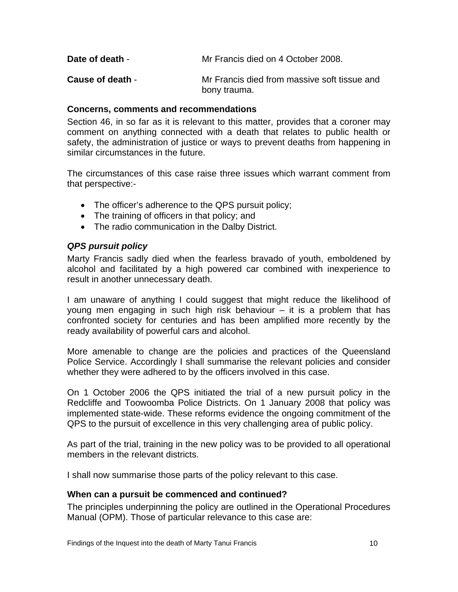<span id="page-11-0"></span>

| Date of death -  | Mr Francis died on 4 October 2008.           |
|------------------|----------------------------------------------|
| Cause of death - | Mr Francis died from massive soft tissue and |

bony trauma.

#### **Concerns, comments and recommendations**

Section 46, in so far as it is relevant to this matter, provides that a coroner may comment on anything connected with a death that relates to public health or safety, the administration of justice or ways to prevent deaths from happening in similar circumstances in the future.

The circumstances of this case raise three issues which warrant comment from that perspective:-

- The officer's adherence to the QPS pursuit policy;
- The training of officers in that policy; and
- The radio communication in the Dalby District.

#### *QPS pursuit policy*

Marty Francis sadly died when the fearless bravado of youth, emboldened by alcohol and facilitated by a high powered car combined with inexperience to result in another unnecessary death.

I am unaware of anything I could suggest that might reduce the likelihood of young men engaging in such high risk behaviour – it is a problem that has confronted society for centuries and has been amplified more recently by the ready availability of powerful cars and alcohol.

More amenable to change are the policies and practices of the Queensland Police Service. Accordingly I shall summarise the relevant policies and consider whether they were adhered to by the officers involved in this case.

On 1 October 2006 the QPS initiated the trial of a new pursuit policy in the Redcliffe and Toowoomba Police Districts. On 1 January 2008 that policy was implemented state-wide. These reforms evidence the ongoing commitment of the QPS to the pursuit of excellence in this very challenging area of public policy.

As part of the trial, training in the new policy was to be provided to all operational members in the relevant districts.

I shall now summarise those parts of the policy relevant to this case.

#### **When can a pursuit be commenced and continued?**

The principles underpinning the policy are outlined in the Operational Procedures Manual (OPM). Those of particular relevance to this case are: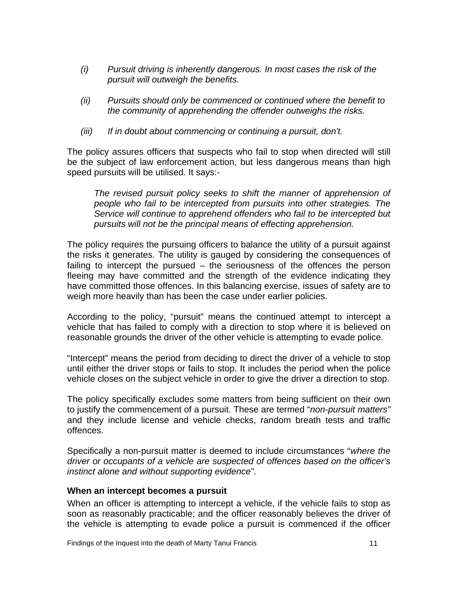- <span id="page-12-0"></span>*(i) Pursuit driving is inherently dangerous. In most cases the risk of the pursuit will outweigh the benefits.*
- *(ii) Pursuits should only be commenced or continued where the benefit to the community of apprehending the offender outweighs the risks.*
- *(iii) If in doubt about commencing or continuing a pursuit, don't.*

The policy assures officers that suspects who fail to stop when directed will still be the subject of law enforcement action, but less dangerous means than high speed pursuits will be utilised. It says:-

*The revised pursuit policy seeks to shift the manner of apprehension of people who fail to be intercepted from pursuits into other strategies. The Service will continue to apprehend offenders who fail to be intercepted but pursuits will not be the principal means of effecting apprehension.* 

The policy requires the pursuing officers to balance the utility of a pursuit against the risks it generates. The utility is gauged by considering the consequences of failing to intercept the pursued – the seriousness of the offences the person fleeing may have committed and the strength of the evidence indicating they have committed those offences. In this balancing exercise, issues of safety are to weigh more heavily than has been the case under earlier policies.

According to the policy, "pursuit" means the continued attempt to intercept a vehicle that has failed to comply with a direction to stop where it is believed on reasonable grounds the driver of the other vehicle is attempting to evade police.

"Intercept" means the period from deciding to direct the driver of a vehicle to stop until either the driver stops or fails to stop. It includes the period when the police vehicle closes on the subject vehicle in order to give the driver a direction to stop.

The policy specifically excludes some matters from being sufficient on their own to justify the commencement of a pursuit. These are termed "*non-pursuit matters"* and they include license and vehicle checks, random breath tests and traffic offences.

Specifically a non-pursuit matter is deemed to include circumstances "*where the driver or occupants of a vehicle are suspected of offences based on the officer's instinct alone and without supporting evidence"*.

#### **When an intercept becomes a pursuit**

When an officer is attempting to intercept a vehicle, if the vehicle fails to stop as soon as reasonably practicable; and the officer reasonably believes the driver of the vehicle is attempting to evade police a pursuit is commenced if the officer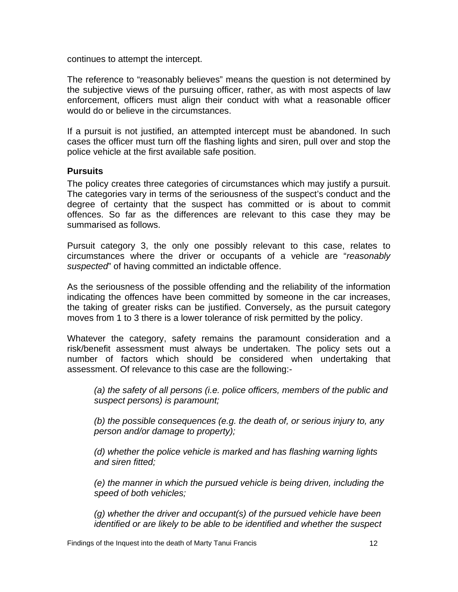<span id="page-13-0"></span>continues to attempt the intercept.

The reference to "reasonably believes" means the question is not determined by the subjective views of the pursuing officer, rather, as with most aspects of law enforcement, officers must align their conduct with what a reasonable officer would do or believe in the circumstances.

If a pursuit is not justified, an attempted intercept must be abandoned. In such cases the officer must turn off the flashing lights and siren, pull over and stop the police vehicle at the first available safe position.

#### **Pursuits**

The policy creates three categories of circumstances which may justify a pursuit. The categories vary in terms of the seriousness of the suspect's conduct and the degree of certainty that the suspect has committed or is about to commit offences. So far as the differences are relevant to this case they may be summarised as follows.

Pursuit category 3, the only one possibly relevant to this case, relates to circumstances where the driver or occupants of a vehicle are "*reasonably suspected*" of having committed an indictable offence.

As the seriousness of the possible offending and the reliability of the information indicating the offences have been committed by someone in the car increases, the taking of greater risks can be justified. Conversely, as the pursuit category moves from 1 to 3 there is a lower tolerance of risk permitted by the policy.

Whatever the category, safety remains the paramount consideration and a risk/benefit assessment must always be undertaken. The policy sets out a number of factors which should be considered when undertaking that assessment. Of relevance to this case are the following:-

*(a) the safety of all persons (i.e. police officers, members of the public and suspect persons) is paramount;* 

*(b) the possible consequences (e.g. the death of, or serious injury to, any person and/or damage to property);* 

*(d) whether the police vehicle is marked and has flashing warning lights and siren fitted;* 

*(e) the manner in which the pursued vehicle is being driven, including the speed of both vehicles;* 

*(g) whether the driver and occupant(s) of the pursued vehicle have been identified or are likely to be able to be identified and whether the suspect*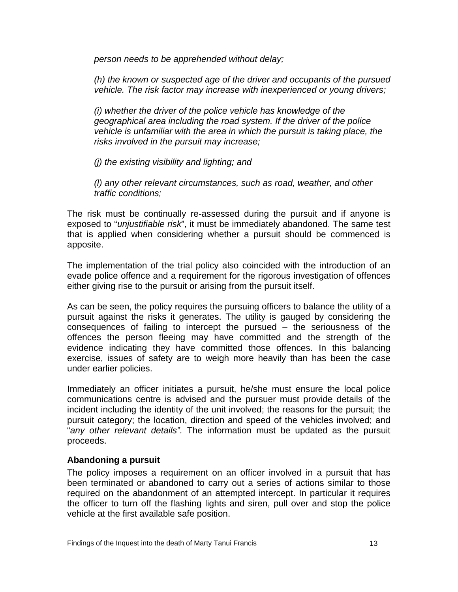*person needs to be apprehended without delay;* 

*(h) the known or suspected age of the driver and occupants of the pursued vehicle. The risk factor may increase with inexperienced or young drivers;* 

*(i) whether the driver of the police vehicle has knowledge of the geographical area including the road system. If the driver of the police vehicle is unfamiliar with the area in which the pursuit is taking place, the risks involved in the pursuit may increase;* 

*(j) the existing visibility and lighting; and* 

*(l) any other relevant circumstances, such as road, weather, and other traffic conditions;* 

The risk must be continually re-assessed during the pursuit and if anyone is exposed to "*unjustifiable risk*", it must be immediately abandoned. The same test that is applied when considering whether a pursuit should be commenced is apposite.

The implementation of the trial policy also coincided with the introduction of an evade police offence and a requirement for the rigorous investigation of offences either giving rise to the pursuit or arising from the pursuit itself.

As can be seen, the policy requires the pursuing officers to balance the utility of a pursuit against the risks it generates. The utility is gauged by considering the consequences of failing to intercept the pursued – the seriousness of the offences the person fleeing may have committed and the strength of the evidence indicating they have committed those offences. In this balancing exercise, issues of safety are to weigh more heavily than has been the case under earlier policies.

Immediately an officer initiates a pursuit, he/she must ensure the local police communications centre is advised and the pursuer must provide details of the incident including the identity of the unit involved; the reasons for the pursuit; the pursuit category; the location, direction and speed of the vehicles involved; and "*any other relevant details".* The information must be updated as the pursuit proceeds.

#### **Abandoning a pursuit**

The policy imposes a requirement on an officer involved in a pursuit that has been terminated or abandoned to carry out a series of actions similar to those required on the abandonment of an attempted intercept. In particular it requires the officer to turn off the flashing lights and siren, pull over and stop the police vehicle at the first available safe position.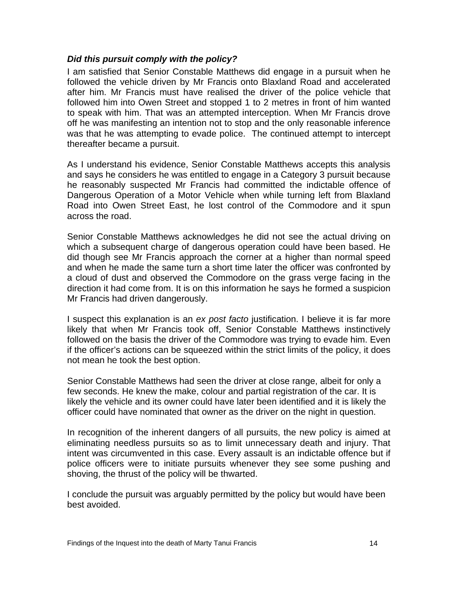#### <span id="page-15-0"></span>*Did this pursuit comply with the policy?*

I am satisfied that Senior Constable Matthews did engage in a pursuit when he followed the vehicle driven by Mr Francis onto Blaxland Road and accelerated after him. Mr Francis must have realised the driver of the police vehicle that followed him into Owen Street and stopped 1 to 2 metres in front of him wanted to speak with him. That was an attempted interception. When Mr Francis drove off he was manifesting an intention not to stop and the only reasonable inference was that he was attempting to evade police. The continued attempt to intercept thereafter became a pursuit.

As I understand his evidence, Senior Constable Matthews accepts this analysis and says he considers he was entitled to engage in a Category 3 pursuit because he reasonably suspected Mr Francis had committed the indictable offence of Dangerous Operation of a Motor Vehicle when while turning left from Blaxland Road into Owen Street East, he lost control of the Commodore and it spun across the road.

Senior Constable Matthews acknowledges he did not see the actual driving on which a subsequent charge of dangerous operation could have been based. He did though see Mr Francis approach the corner at a higher than normal speed and when he made the same turn a short time later the officer was confronted by a cloud of dust and observed the Commodore on the grass verge facing in the direction it had come from. It is on this information he says he formed a suspicion Mr Francis had driven dangerously.

I suspect this explanation is an *ex post facto* justification. I believe it is far more likely that when Mr Francis took off, Senior Constable Matthews instinctively followed on the basis the driver of the Commodore was trying to evade him. Even if the officer's actions can be squeezed within the strict limits of the policy, it does not mean he took the best option.

Senior Constable Matthews had seen the driver at close range, albeit for only a few seconds. He knew the make, colour and partial registration of the car. It is likely the vehicle and its owner could have later been identified and it is likely the officer could have nominated that owner as the driver on the night in question.

In recognition of the inherent dangers of all pursuits, the new policy is aimed at eliminating needless pursuits so as to limit unnecessary death and injury. That intent was circumvented in this case. Every assault is an indictable offence but if police officers were to initiate pursuits whenever they see some pushing and shoving, the thrust of the policy will be thwarted.

I conclude the pursuit was arguably permitted by the policy but would have been best avoided.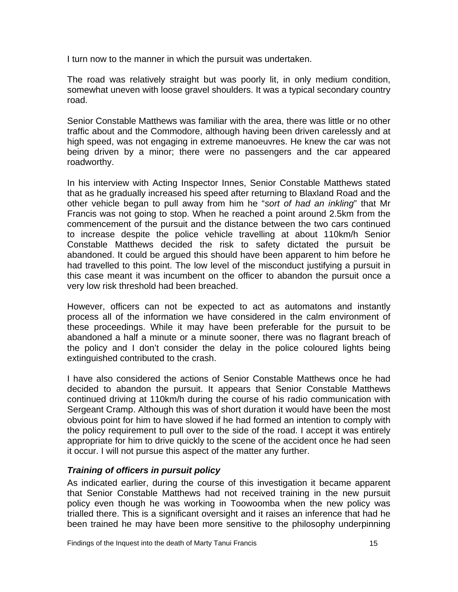<span id="page-16-0"></span>I turn now to the manner in which the pursuit was undertaken.

The road was relatively straight but was poorly lit, in only medium condition, somewhat uneven with loose gravel shoulders. It was a typical secondary country road.

Senior Constable Matthews was familiar with the area, there was little or no other traffic about and the Commodore, although having been driven carelessly and at high speed, was not engaging in extreme manoeuvres. He knew the car was not being driven by a minor; there were no passengers and the car appeared roadworthy.

In his interview with Acting Inspector Innes, Senior Constable Matthews stated that as he gradually increased his speed after returning to Blaxland Road and the other vehicle began to pull away from him he "*sort of had an inkling*" that Mr Francis was not going to stop. When he reached a point around 2.5km from the commencement of the pursuit and the distance between the two cars continued to increase despite the police vehicle travelling at about 110km/h Senior Constable Matthews decided the risk to safety dictated the pursuit be abandoned. It could be argued this should have been apparent to him before he had travelled to this point. The low level of the misconduct justifying a pursuit in this case meant it was incumbent on the officer to abandon the pursuit once a very low risk threshold had been breached.

However, officers can not be expected to act as automatons and instantly process all of the information we have considered in the calm environment of these proceedings. While it may have been preferable for the pursuit to be abandoned a half a minute or a minute sooner, there was no flagrant breach of the policy and I don't consider the delay in the police coloured lights being extinguished contributed to the crash.

I have also considered the actions of Senior Constable Matthews once he had decided to abandon the pursuit. It appears that Senior Constable Matthews continued driving at 110km/h during the course of his radio communication with Sergeant Cramp. Although this was of short duration it would have been the most obvious point for him to have slowed if he had formed an intention to comply with the policy requirement to pull over to the side of the road. I accept it was entirely appropriate for him to drive quickly to the scene of the accident once he had seen it occur. I will not pursue this aspect of the matter any further.

#### *Training of officers in pursuit policy*

As indicated earlier, during the course of this investigation it became apparent that Senior Constable Matthews had not received training in the new pursuit policy even though he was working in Toowoomba when the new policy was trialled there. This is a significant oversight and it raises an inference that had he been trained he may have been more sensitive to the philosophy underpinning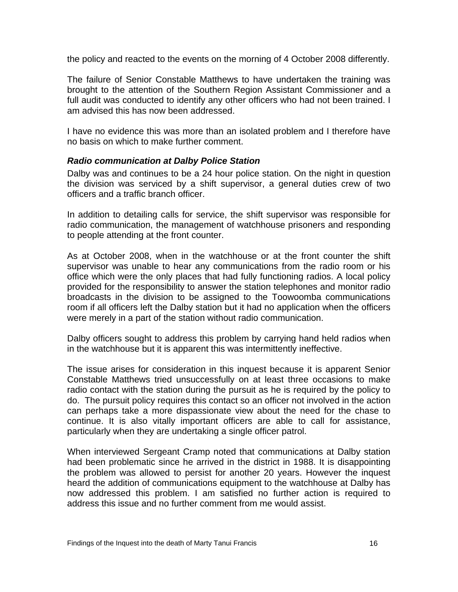<span id="page-17-0"></span>the policy and reacted to the events on the morning of 4 October 2008 differently.

The failure of Senior Constable Matthews to have undertaken the training was brought to the attention of the Southern Region Assistant Commissioner and a full audit was conducted to identify any other officers who had not been trained. I am advised this has now been addressed.

I have no evidence this was more than an isolated problem and I therefore have no basis on which to make further comment.

#### *Radio communication at Dalby Police Station*

Dalby was and continues to be a 24 hour police station. On the night in question the division was serviced by a shift supervisor, a general duties crew of two officers and a traffic branch officer.

In addition to detailing calls for service, the shift supervisor was responsible for radio communication, the management of watchhouse prisoners and responding to people attending at the front counter.

As at October 2008, when in the watchhouse or at the front counter the shift supervisor was unable to hear any communications from the radio room or his office which were the only places that had fully functioning radios. A local policy provided for the responsibility to answer the station telephones and monitor radio broadcasts in the division to be assigned to the Toowoomba communications room if all officers left the Dalby station but it had no application when the officers were merely in a part of the station without radio communication.

Dalby officers sought to address this problem by carrying hand held radios when in the watchhouse but it is apparent this was intermittently ineffective.

The issue arises for consideration in this inquest because it is apparent Senior Constable Matthews tried unsuccessfully on at least three occasions to make radio contact with the station during the pursuit as he is required by the policy to do. The pursuit policy requires this contact so an officer not involved in the action can perhaps take a more dispassionate view about the need for the chase to continue. It is also vitally important officers are able to call for assistance, particularly when they are undertaking a single officer patrol.

When interviewed Sergeant Cramp noted that communications at Dalby station had been problematic since he arrived in the district in 1988. It is disappointing the problem was allowed to persist for another 20 years. However the inquest heard the addition of communications equipment to the watchhouse at Dalby has now addressed this problem. I am satisfied no further action is required to address this issue and no further comment from me would assist.